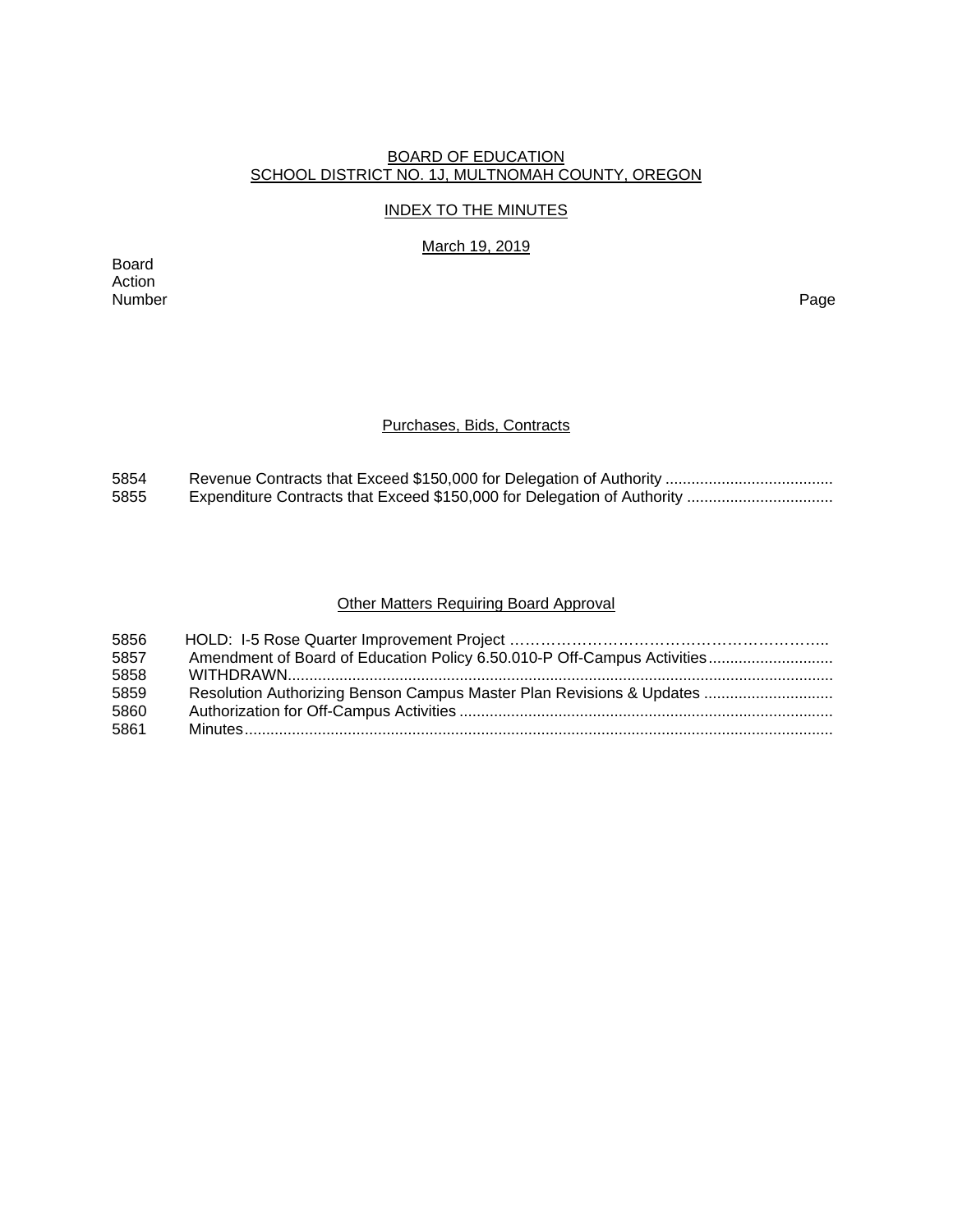## BOARD OF EDUCATION SCHOOL DISTRICT NO. 1J, MULTNOMAH COUNTY, OREGON

## INDEX TO THE MINUTES

March 19, 2019

Board Action Number Page

## Purchases, Bids, Contracts

| 5854 |  |
|------|--|
| 5855 |  |

# Other Matters Requiring Board Approval

| 5856 |                                                                         |
|------|-------------------------------------------------------------------------|
| 5857 | Amendment of Board of Education Policy 6.50.010-P Off-Campus Activities |
| 5858 |                                                                         |
| 5859 | Resolution Authorizing Benson Campus Master Plan Revisions & Updates    |
| 5860 |                                                                         |
| 5861 |                                                                         |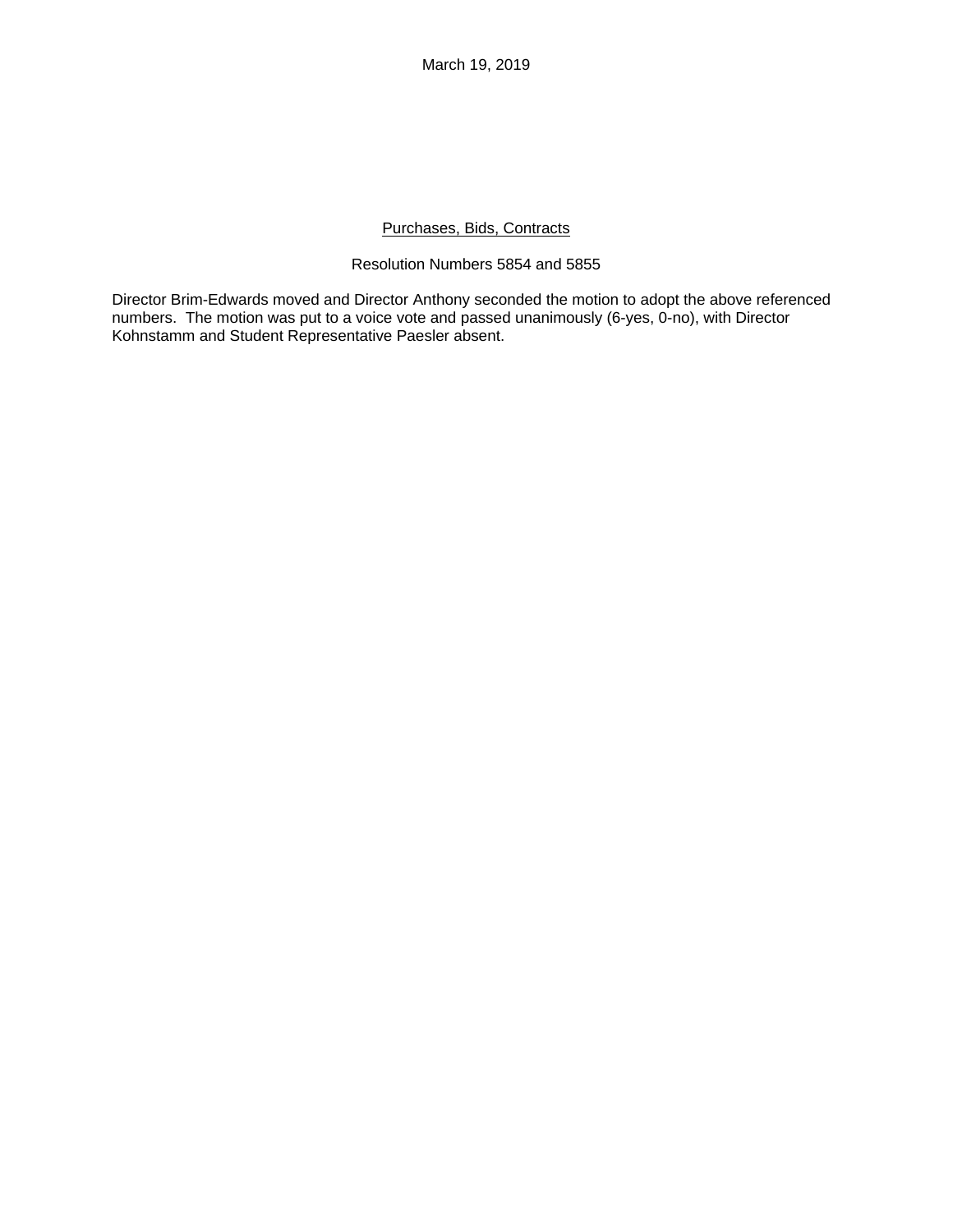## Purchases, Bids, Contracts

# Resolution Numbers 5854 and 5855

Director Brim-Edwards moved and Director Anthony seconded the motion to adopt the above referenced numbers. The motion was put to a voice vote and passed unanimously (6-yes, 0-no), with Director Kohnstamm and Student Representative Paesler absent.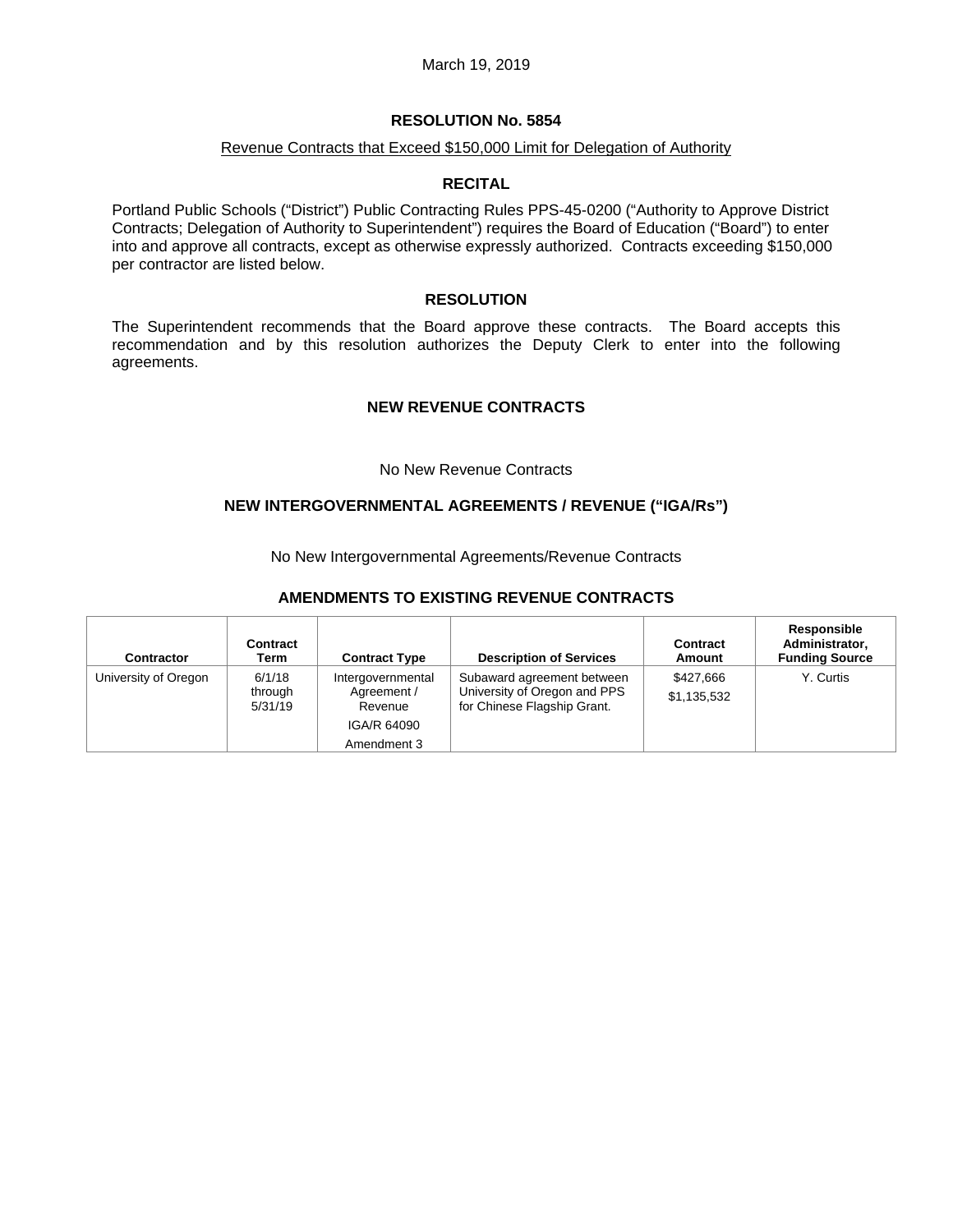## **RESOLUTION No. 5854**

#### Revenue Contracts that Exceed \$150,000 Limit for Delegation of Authority

#### **RECITAL**

Portland Public Schools ("District") Public Contracting Rules PPS-45-0200 ("Authority to Approve District Contracts; Delegation of Authority to Superintendent") requires the Board of Education ("Board") to enter into and approve all contracts, except as otherwise expressly authorized. Contracts exceeding \$150,000 per contractor are listed below.

## **RESOLUTION**

The Superintendent recommends that the Board approve these contracts. The Board accepts this recommendation and by this resolution authorizes the Deputy Clerk to enter into the following agreements.

#### **NEW REVENUE CONTRACTS**

#### No New Revenue Contracts

## **NEW INTERGOVERNMENTAL AGREEMENTS / REVENUE ("IGA/Rs")**

No New Intergovernmental Agreements/Revenue Contracts

#### **AMENDMENTS TO EXISTING REVENUE CONTRACTS**

| <b>Contractor</b>    | Contract<br>Term             | <b>Contract Type</b>                        | <b>Description of Services</b>                                                            | Contract<br>Amount       | Responsible<br>Administrator,<br><b>Funding Source</b> |
|----------------------|------------------------------|---------------------------------------------|-------------------------------------------------------------------------------------------|--------------------------|--------------------------------------------------------|
| University of Oregon | 6/1/18<br>through<br>5/31/19 | Intergovernmental<br>Agreement /<br>Revenue | Subaward agreement between<br>University of Oregon and PPS<br>for Chinese Flagship Grant. | \$427,666<br>\$1,135,532 | Y. Curtis                                              |
|                      |                              | IGA/R 64090                                 |                                                                                           |                          |                                                        |
|                      |                              | Amendment 3                                 |                                                                                           |                          |                                                        |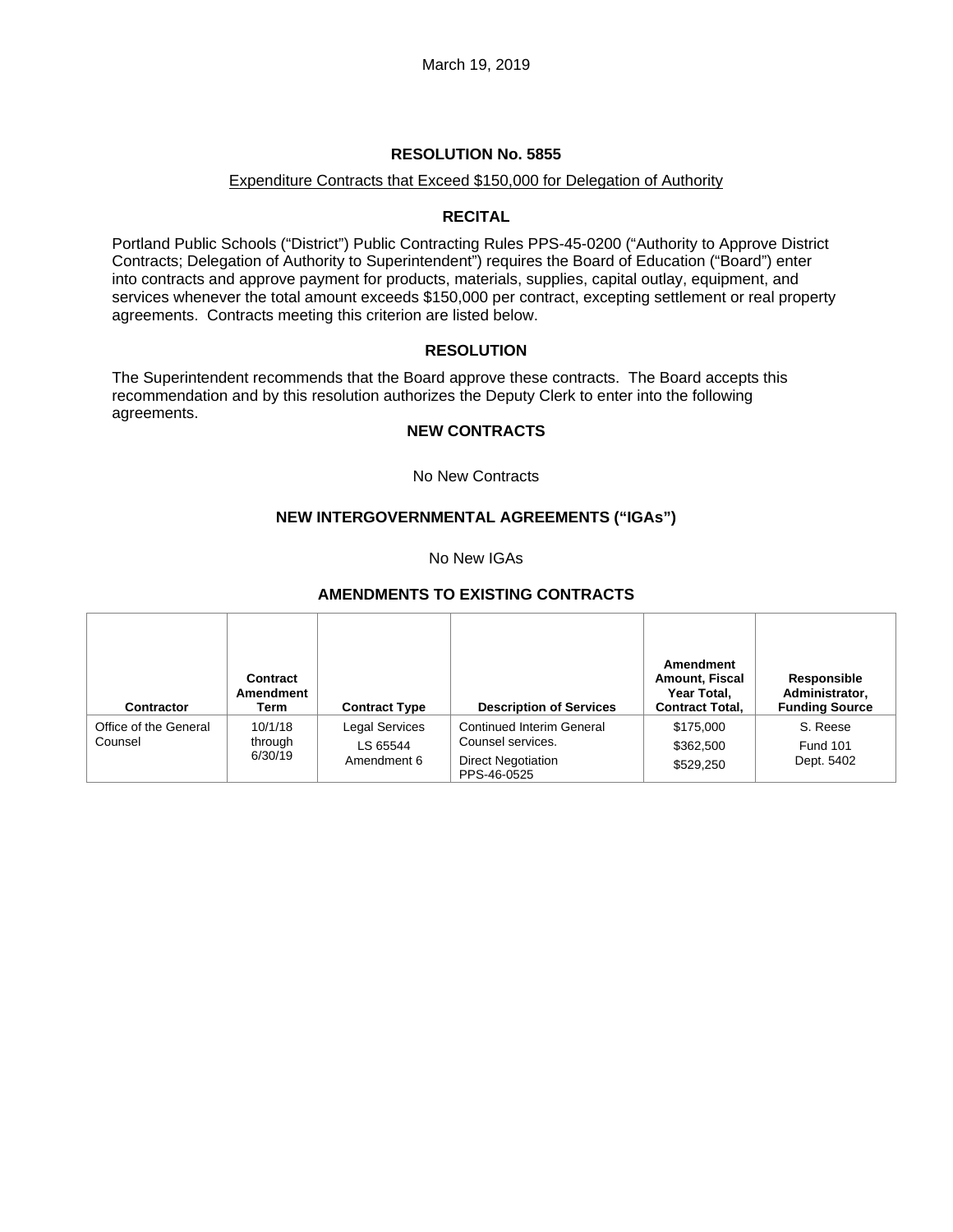### Expenditure Contracts that Exceed \$150,000 for Delegation of Authority

## **RECITAL**

Portland Public Schools ("District") Public Contracting Rules PPS-45-0200 ("Authority to Approve District Contracts; Delegation of Authority to Superintendent") requires the Board of Education ("Board") enter into contracts and approve payment for products, materials, supplies, capital outlay, equipment, and services whenever the total amount exceeds \$150,000 per contract, excepting settlement or real property agreements. Contracts meeting this criterion are listed below.

## **RESOLUTION**

The Superintendent recommends that the Board approve these contracts. The Board accepts this recommendation and by this resolution authorizes the Deputy Clerk to enter into the following agreements.

## **NEW CONTRACTS**

No New Contracts

## **NEW INTERGOVERNMENTAL AGREEMENTS ("IGAs")**

No New IGAs

#### **AMENDMENTS TO EXISTING CONTRACTS**

| <b>Contractor</b>                | Contract<br>Amendment<br>Term | <b>Contract Type</b>                             | <b>Description of Services</b>                                                             | Amendment<br><b>Amount, Fiscal</b><br>Year Total,<br><b>Contract Total,</b> | Responsible<br>Administrator,<br><b>Funding Source</b> |
|----------------------------------|-------------------------------|--------------------------------------------------|--------------------------------------------------------------------------------------------|-----------------------------------------------------------------------------|--------------------------------------------------------|
| Office of the General<br>Counsel | 10/1/18<br>through<br>6/30/19 | <b>Legal Services</b><br>LS 65544<br>Amendment 6 | Continued Interim General<br>Counsel services.<br><b>Direct Negotiation</b><br>PPS-46-0525 | \$175,000<br>\$362,500<br>\$529,250                                         | S. Reese<br><b>Fund 101</b><br>Dept. 5402              |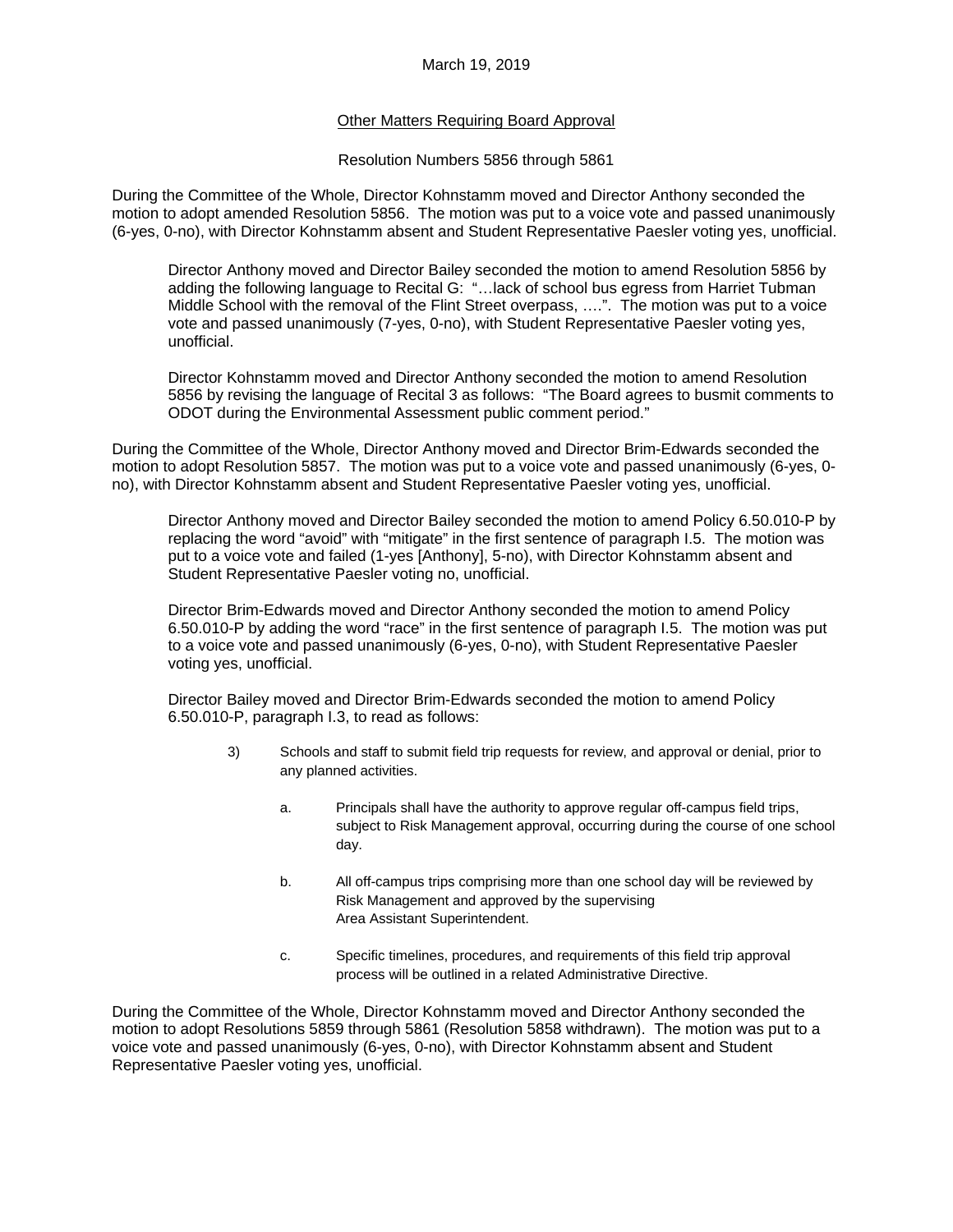## Other Matters Requiring Board Approval

#### Resolution Numbers 5856 through 5861

During the Committee of the Whole, Director Kohnstamm moved and Director Anthony seconded the motion to adopt amended Resolution 5856. The motion was put to a voice vote and passed unanimously (6-yes, 0-no), with Director Kohnstamm absent and Student Representative Paesler voting yes, unofficial.

Director Anthony moved and Director Bailey seconded the motion to amend Resolution 5856 by adding the following language to Recital G: "…lack of school bus egress from Harriet Tubman Middle School with the removal of the Flint Street overpass, ….". The motion was put to a voice vote and passed unanimously (7-yes, 0-no), with Student Representative Paesler voting yes, unofficial.

Director Kohnstamm moved and Director Anthony seconded the motion to amend Resolution 5856 by revising the language of Recital 3 as follows: "The Board agrees to busmit comments to ODOT during the Environmental Assessment public comment period."

During the Committee of the Whole, Director Anthony moved and Director Brim-Edwards seconded the motion to adopt Resolution 5857. The motion was put to a voice vote and passed unanimously (6-yes, 0 no), with Director Kohnstamm absent and Student Representative Paesler voting yes, unofficial.

Director Anthony moved and Director Bailey seconded the motion to amend Policy 6.50.010-P by replacing the word "avoid" with "mitigate" in the first sentence of paragraph I.5. The motion was put to a voice vote and failed (1-yes [Anthony], 5-no), with Director Kohnstamm absent and Student Representative Paesler voting no, unofficial.

Director Brim-Edwards moved and Director Anthony seconded the motion to amend Policy 6.50.010-P by adding the word "race" in the first sentence of paragraph I.5. The motion was put to a voice vote and passed unanimously (6-yes, 0-no), with Student Representative Paesler voting yes, unofficial.

Director Bailey moved and Director Brim-Edwards seconded the motion to amend Policy 6.50.010-P, paragraph I.3, to read as follows:

- 3) Schools and staff to submit field trip requests for review, and approval or denial, prior to any planned activities.
	- a. Principals shall have the authority to approve regular off-campus field trips, subject to Risk Management approval, occurring during the course of one school day.
	- b. All off-campus trips comprising more than one school day will be reviewed by Risk Management and approved by the supervising Area Assistant Superintendent.
	- c. Specific timelines, procedures, and requirements of this field trip approval process will be outlined in a related Administrative Directive.

During the Committee of the Whole, Director Kohnstamm moved and Director Anthony seconded the motion to adopt Resolutions 5859 through 5861 (Resolution 5858 withdrawn). The motion was put to a voice vote and passed unanimously (6-yes, 0-no), with Director Kohnstamm absent and Student Representative Paesler voting yes, unofficial.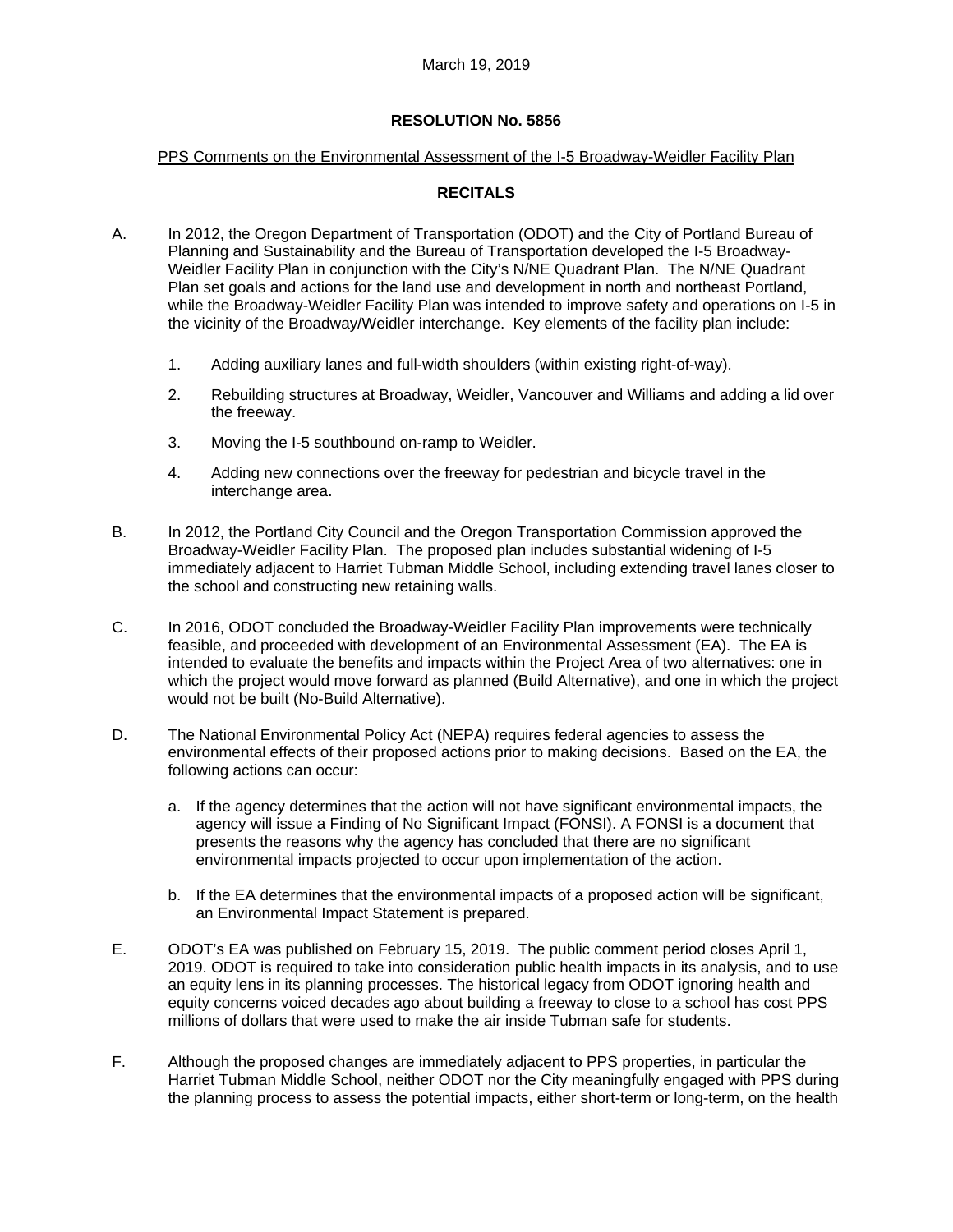#### PPS Comments on the Environmental Assessment of the I-5 Broadway-Weidler Facility Plan

# **RECITALS**

- A. In 2012, the Oregon Department of Transportation (ODOT) and the City of Portland Bureau of Planning and Sustainability and the Bureau of Transportation developed the I-5 Broadway-Weidler Facility Plan in conjunction with the City's N/NE Quadrant Plan. The N/NE Quadrant Plan set goals and actions for the land use and development in north and northeast Portland, while the Broadway-Weidler Facility Plan was intended to improve safety and operations on I-5 in the vicinity of the Broadway/Weidler interchange. Key elements of the facility plan include:
	- 1. Adding auxiliary lanes and full-width shoulders (within existing right-of-way).
	- 2. Rebuilding structures at Broadway, Weidler, Vancouver and Williams and adding a lid over the freeway.
	- 3. Moving the I-5 southbound on-ramp to Weidler.
	- 4. Adding new connections over the freeway for pedestrian and bicycle travel in the interchange area.
- B. In 2012, the Portland City Council and the Oregon Transportation Commission approved the Broadway-Weidler Facility Plan. The proposed plan includes substantial widening of I-5 immediately adjacent to Harriet Tubman Middle School, including extending travel lanes closer to the school and constructing new retaining walls.
- C. In 2016, ODOT concluded the Broadway-Weidler Facility Plan improvements were technically feasible, and proceeded with development of an Environmental Assessment (EA). The EA is intended to evaluate the benefits and impacts within the Project Area of two alternatives: one in which the project would move forward as planned (Build Alternative), and one in which the project would not be built (No-Build Alternative).
- D. The National Environmental Policy Act (NEPA) requires federal agencies to assess the environmental effects of their proposed actions prior to making decisions. Based on the EA, the following actions can occur:
	- a. If the agency determines that the action will not have significant environmental impacts, the agency will issue a Finding of No Significant Impact (FONSI). A FONSI is a document that presents the reasons why the agency has concluded that there are no significant environmental impacts projected to occur upon implementation of the action.
	- b. If the EA determines that the environmental impacts of a proposed action will be significant, an Environmental Impact Statement is prepared.
- E. ODOT's EA was published on February 15, 2019. The public comment period closes April 1, 2019. ODOT is required to take into consideration public health impacts in its analysis, and to use an equity lens in its planning processes. The historical legacy from ODOT ignoring health and equity concerns voiced decades ago about building a freeway to close to a school has cost PPS millions of dollars that were used to make the air inside Tubman safe for students.
- F. Although the proposed changes are immediately adjacent to PPS properties, in particular the Harriet Tubman Middle School, neither ODOT nor the City meaningfully engaged with PPS during the planning process to assess the potential impacts, either short-term or long-term, on the health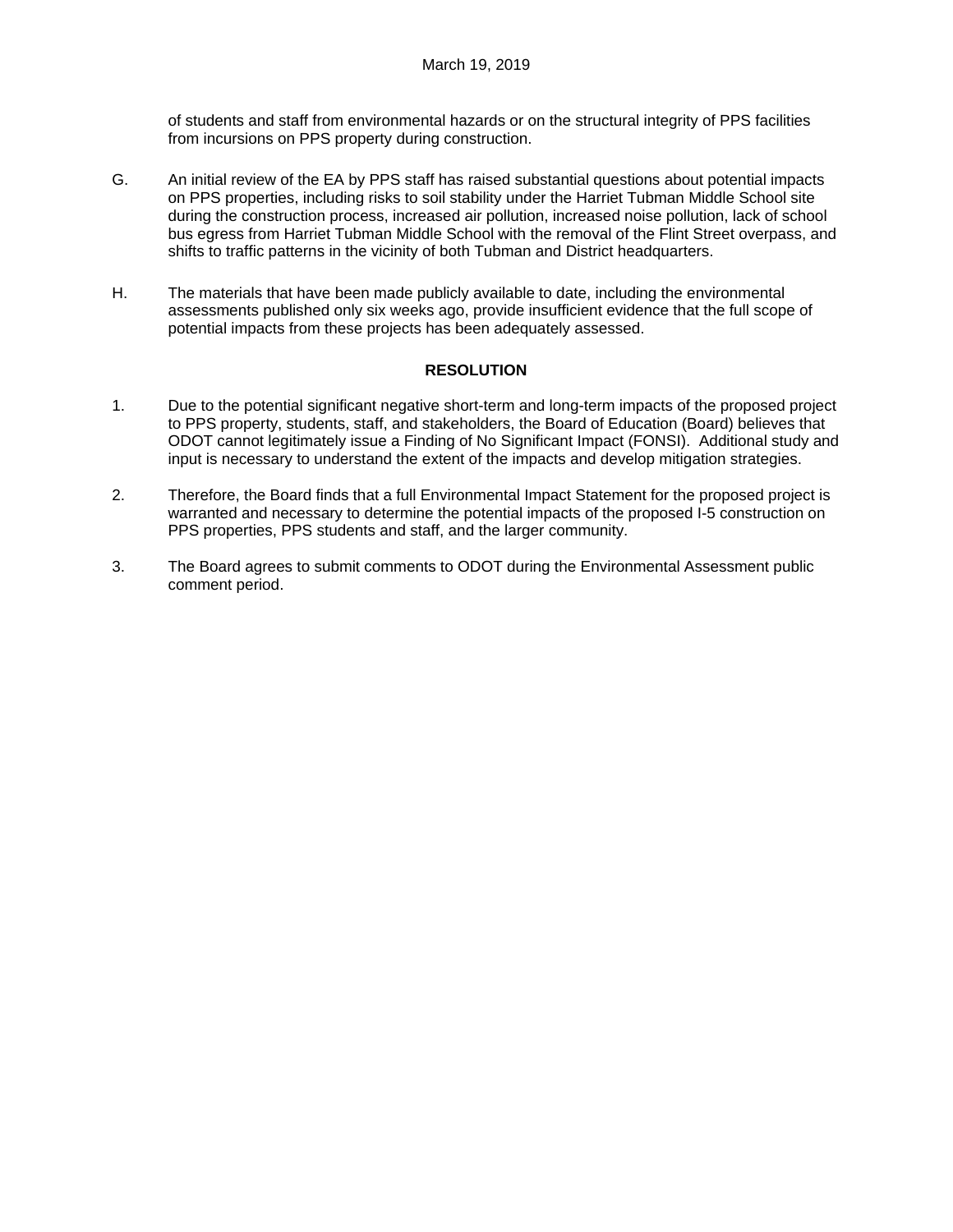of students and staff from environmental hazards or on the structural integrity of PPS facilities from incursions on PPS property during construction.

- G. An initial review of the EA by PPS staff has raised substantial questions about potential impacts on PPS properties, including risks to soil stability under the Harriet Tubman Middle School site during the construction process, increased air pollution, increased noise pollution, lack of school bus egress from Harriet Tubman Middle School with the removal of the Flint Street overpass, and shifts to traffic patterns in the vicinity of both Tubman and District headquarters.
- H. The materials that have been made publicly available to date, including the environmental assessments published only six weeks ago, provide insufficient evidence that the full scope of potential impacts from these projects has been adequately assessed.

## **RESOLUTION**

- 1. Due to the potential significant negative short-term and long-term impacts of the proposed project to PPS property, students, staff, and stakeholders, the Board of Education (Board) believes that ODOT cannot legitimately issue a Finding of No Significant Impact (FONSI). Additional study and input is necessary to understand the extent of the impacts and develop mitigation strategies.
- 2. Therefore, the Board finds that a full Environmental Impact Statement for the proposed project is warranted and necessary to determine the potential impacts of the proposed I-5 construction on PPS properties, PPS students and staff, and the larger community.
- 3. The Board agrees to submit comments to ODOT during the Environmental Assessment public comment period.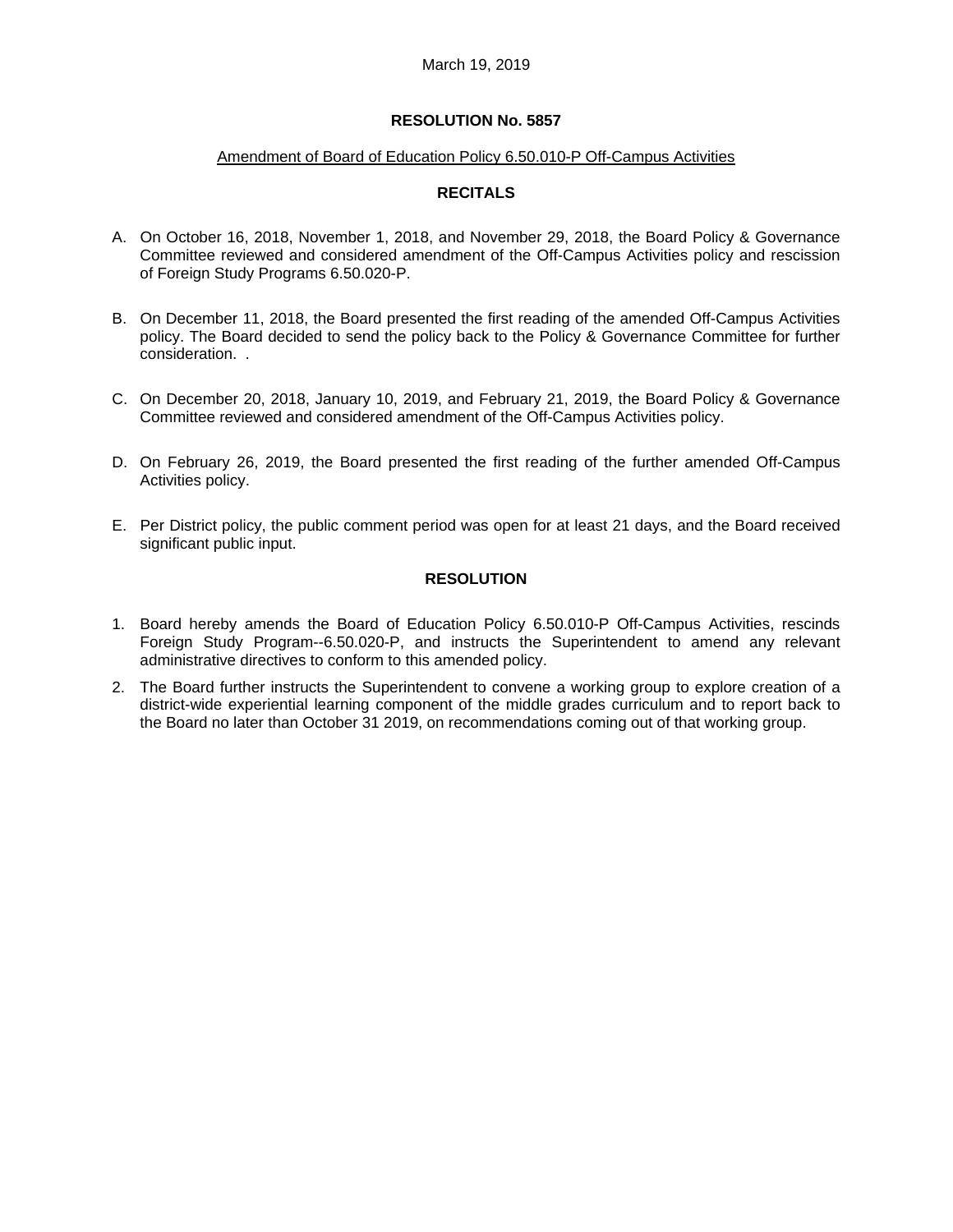#### Amendment of Board of Education Policy 6.50.010-P Off-Campus Activities

## **RECITALS**

- A. On October 16, 2018, November 1, 2018, and November 29, 2018, the Board Policy & Governance Committee reviewed and considered amendment of the Off-Campus Activities policy and rescission of Foreign Study Programs 6.50.020-P.
- B. On December 11, 2018, the Board presented the first reading of the amended Off-Campus Activities policy. The Board decided to send the policy back to the Policy & Governance Committee for further consideration. .
- C. On December 20, 2018, January 10, 2019, and February 21, 2019, the Board Policy & Governance Committee reviewed and considered amendment of the Off-Campus Activities policy.
- D. On February 26, 2019, the Board presented the first reading of the further amended Off-Campus Activities policy.
- E. Per District policy, the public comment period was open for at least 21 days, and the Board received significant public input.

## **RESOLUTION**

- 1. Board hereby amends the Board of Education Policy 6.50.010-P Off-Campus Activities, rescinds Foreign Study Program--6.50.020-P, and instructs the Superintendent to amend any relevant administrative directives to conform to this amended policy.
- 2. The Board further instructs the Superintendent to convene a working group to explore creation of a district-wide experiential learning component of the middle grades curriculum and to report back to the Board no later than October 31 2019, on recommendations coming out of that working group.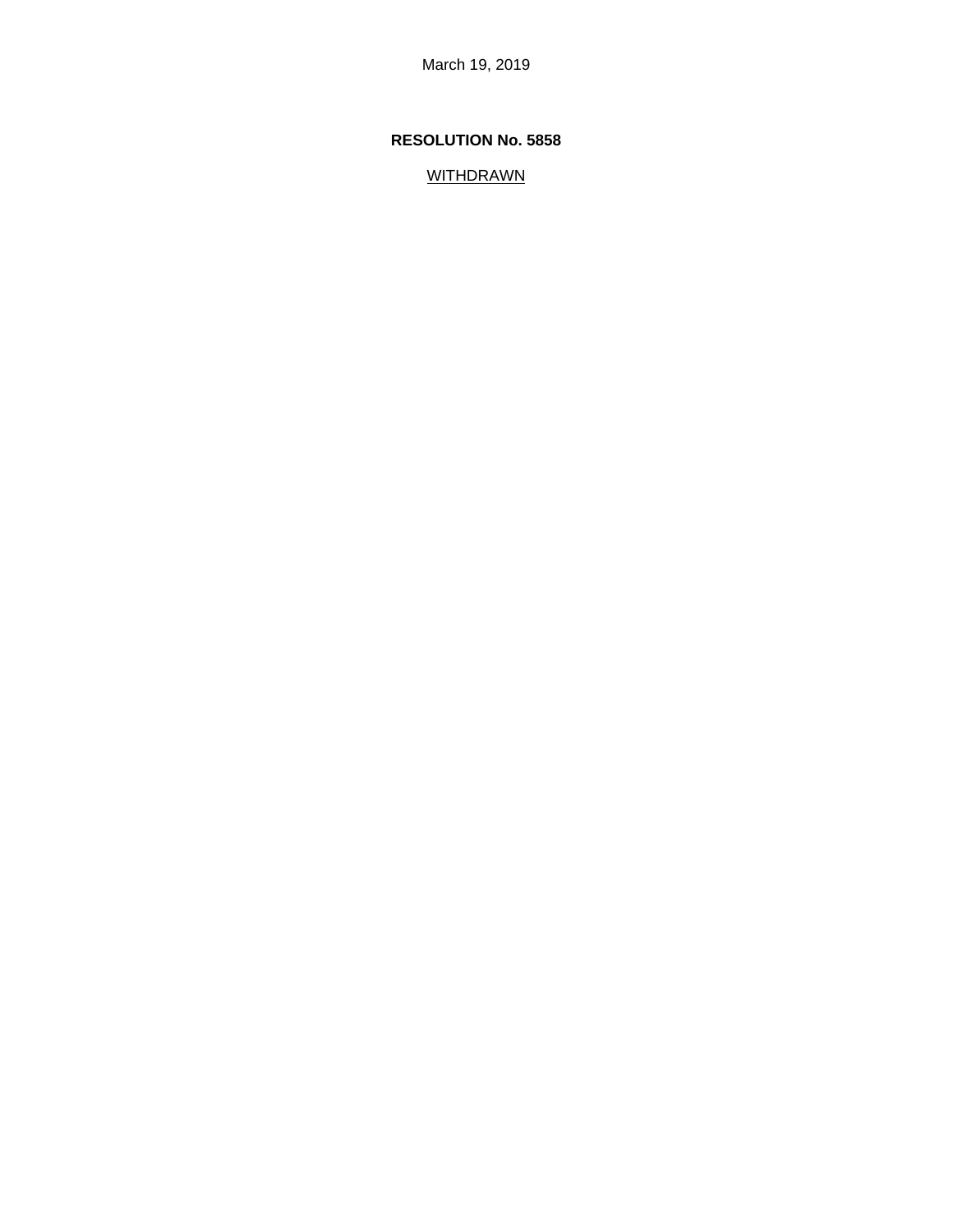# **RESOLUTION No. 5858**

WITHDRAWN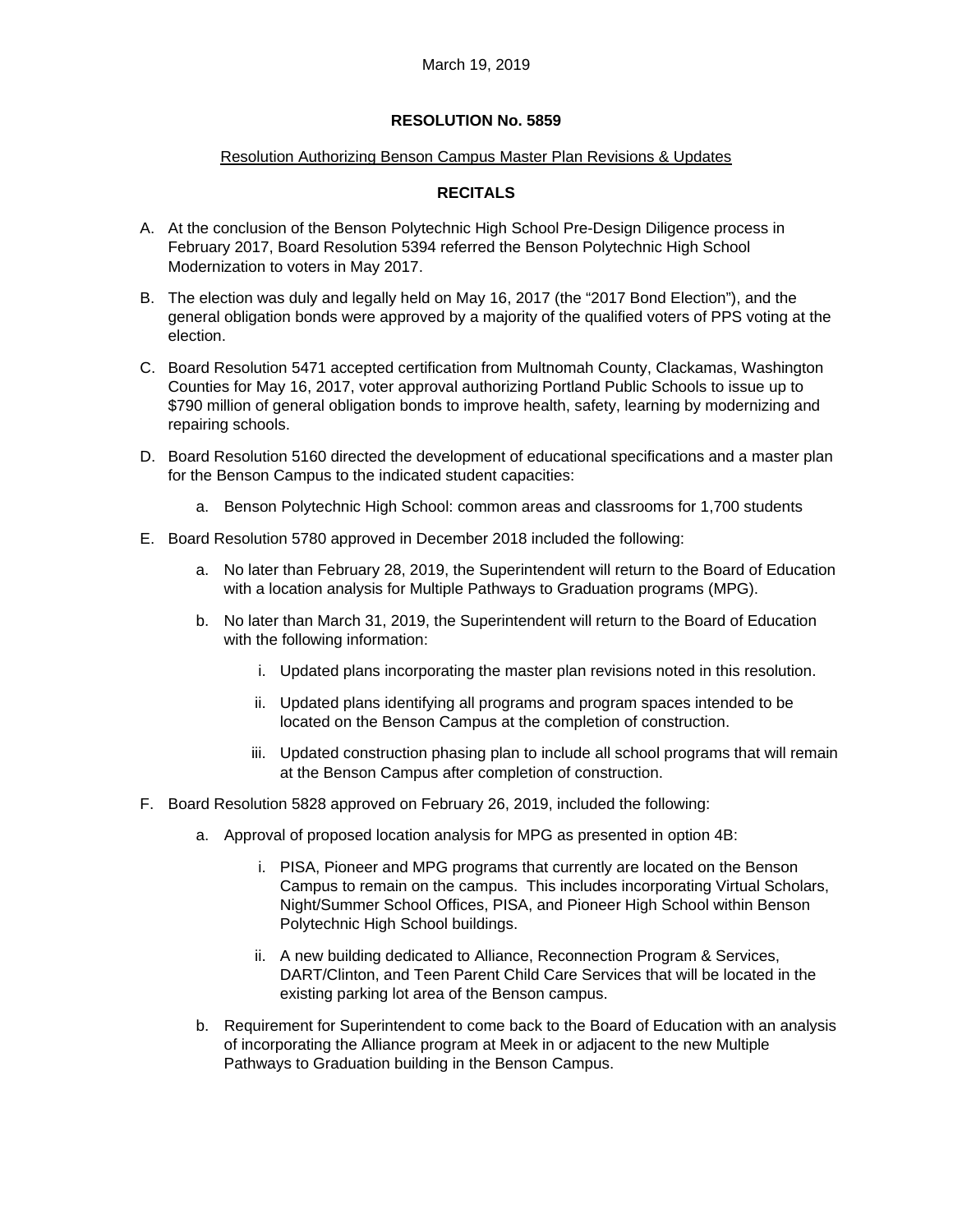## Resolution Authorizing Benson Campus Master Plan Revisions & Updates

# **RECITALS**

- A. At the conclusion of the Benson Polytechnic High School Pre-Design Diligence process in February 2017, Board Resolution 5394 referred the Benson Polytechnic High School Modernization to voters in May 2017.
- B. The election was duly and legally held on May 16, 2017 (the "2017 Bond Election"), and the general obligation bonds were approved by a majority of the qualified voters of PPS voting at the election.
- C. Board Resolution 5471 accepted certification from Multnomah County, Clackamas, Washington Counties for May 16, 2017, voter approval authorizing Portland Public Schools to issue up to \$790 million of general obligation bonds to improve health, safety, learning by modernizing and repairing schools.
- D. Board Resolution 5160 directed the development of educational specifications and a master plan for the Benson Campus to the indicated student capacities:
	- a. Benson Polytechnic High School: common areas and classrooms for 1,700 students
- E. Board Resolution 5780 approved in December 2018 included the following:
	- a. No later than February 28, 2019, the Superintendent will return to the Board of Education with a location analysis for Multiple Pathways to Graduation programs (MPG).
	- b. No later than March 31, 2019, the Superintendent will return to the Board of Education with the following information:
		- i. Updated plans incorporating the master plan revisions noted in this resolution.
		- ii. Updated plans identifying all programs and program spaces intended to be located on the Benson Campus at the completion of construction.
		- iii. Updated construction phasing plan to include all school programs that will remain at the Benson Campus after completion of construction.
- F. Board Resolution 5828 approved on February 26, 2019, included the following:
	- a. Approval of proposed location analysis for MPG as presented in option 4B:
		- i. PISA, Pioneer and MPG programs that currently are located on the Benson Campus to remain on the campus. This includes incorporating Virtual Scholars, Night/Summer School Offices, PISA, and Pioneer High School within Benson Polytechnic High School buildings.
		- ii. A new building dedicated to Alliance, Reconnection Program & Services, DART/Clinton, and Teen Parent Child Care Services that will be located in the existing parking lot area of the Benson campus.
	- b. Requirement for Superintendent to come back to the Board of Education with an analysis of incorporating the Alliance program at Meek in or adjacent to the new Multiple Pathways to Graduation building in the Benson Campus.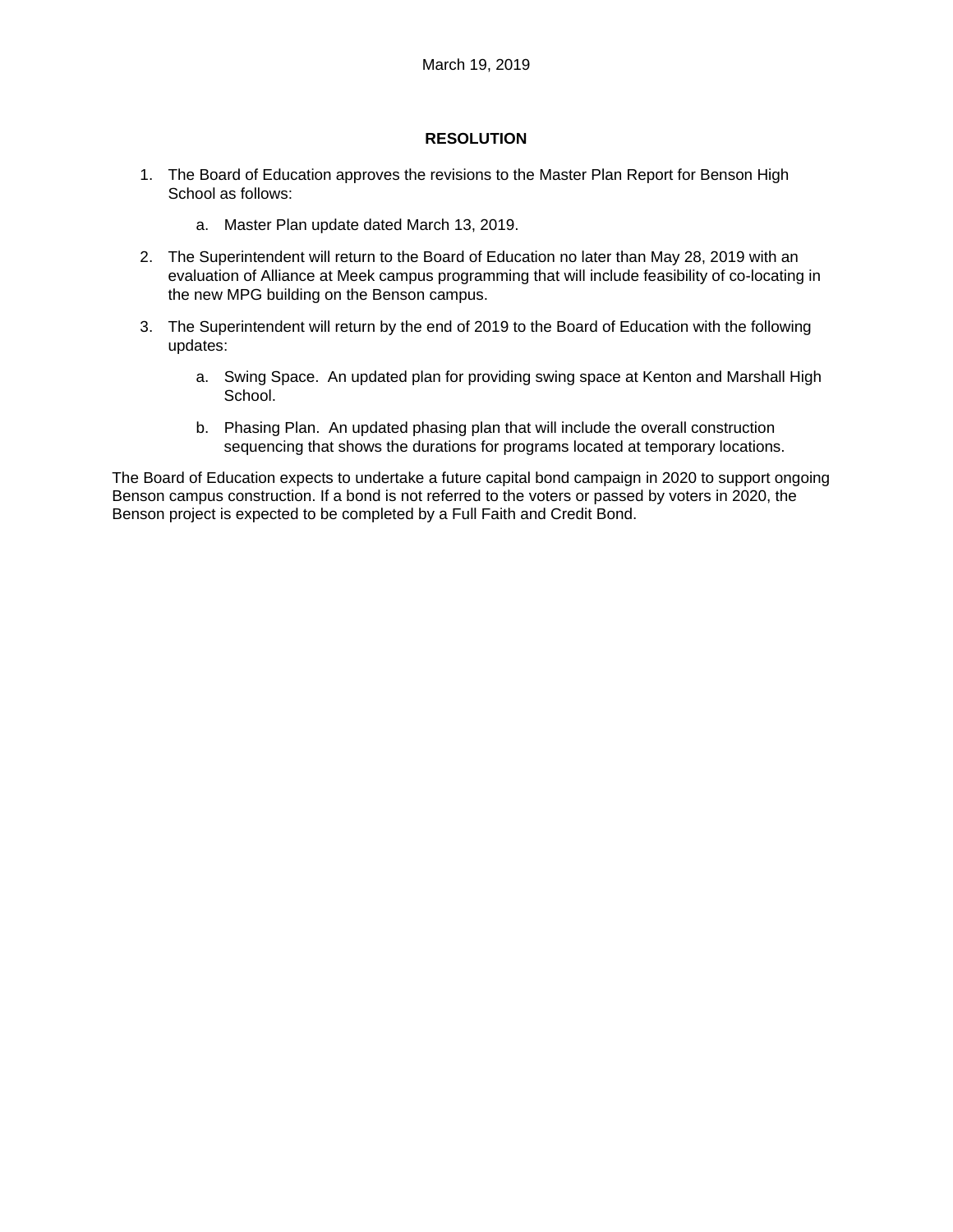## **RESOLUTION**

- 1. The Board of Education approves the revisions to the Master Plan Report for Benson High School as follows:
	- a. Master Plan update dated March 13, 2019.
- 2. The Superintendent will return to the Board of Education no later than May 28, 2019 with an evaluation of Alliance at Meek campus programming that will include feasibility of co-locating in the new MPG building on the Benson campus.
- 3. The Superintendent will return by the end of 2019 to the Board of Education with the following updates:
	- a. Swing Space. An updated plan for providing swing space at Kenton and Marshall High School.
	- b. Phasing Plan. An updated phasing plan that will include the overall construction sequencing that shows the durations for programs located at temporary locations.

The Board of Education expects to undertake a future capital bond campaign in 2020 to support ongoing Benson campus construction. If a bond is not referred to the voters or passed by voters in 2020, the Benson project is expected to be completed by a Full Faith and Credit Bond.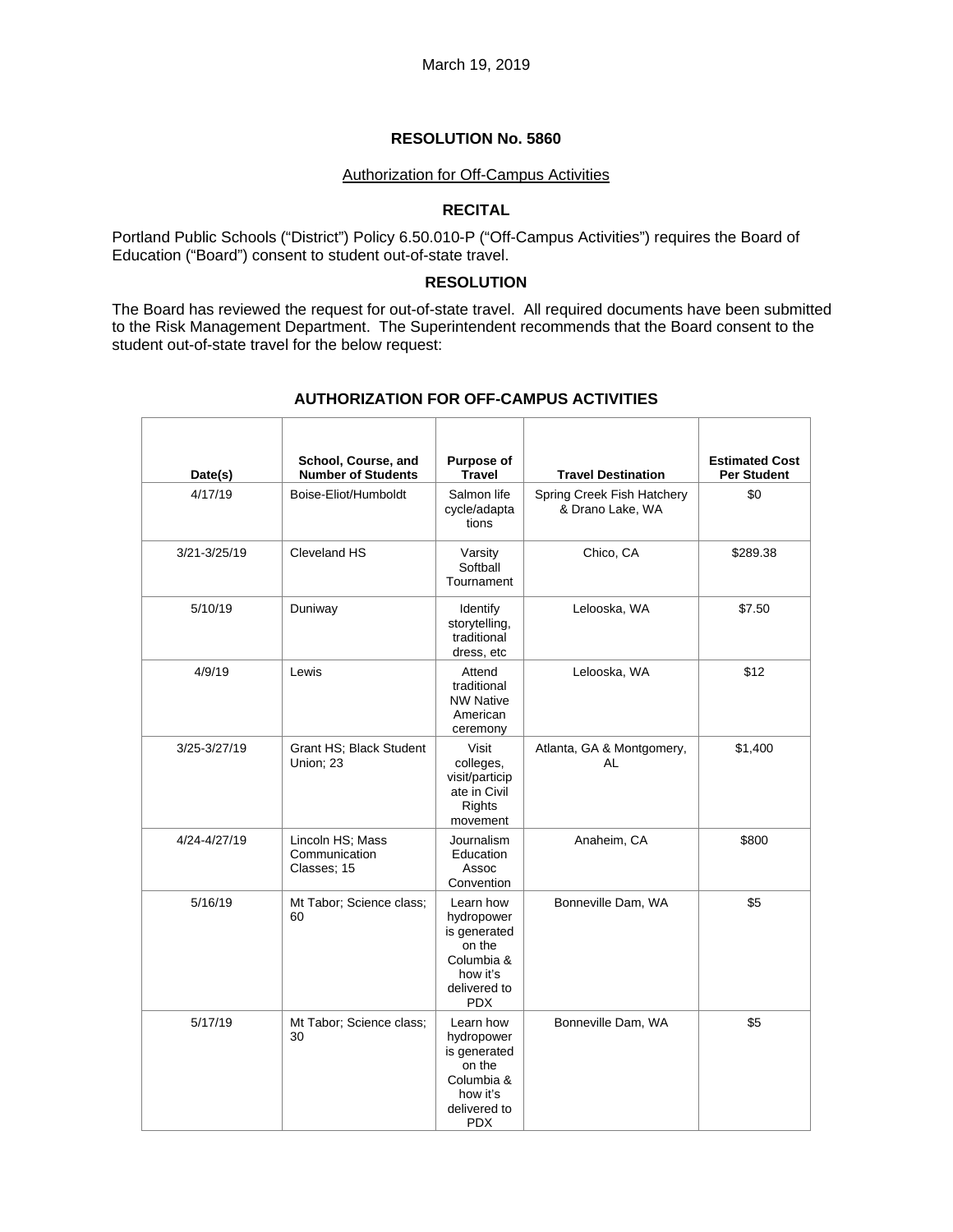#### Authorization for Off-Campus Activities

### **RECITAL**

Portland Public Schools ("District") Policy 6.50.010-P ("Off-Campus Activities") requires the Board of Education ("Board") consent to student out-of-state travel.

## **RESOLUTION**

The Board has reviewed the request for out-of-state travel. All required documents have been submitted to the Risk Management Department. The Superintendent recommends that the Board consent to the student out-of-state travel for the below request:

| Date(s)      | School, Course, and<br><b>Number of Students</b> | Purpose of<br><b>Travel</b>                                                                               | <b>Travel Destination</b>                      | <b>Estimated Cost</b><br><b>Per Student</b> |
|--------------|--------------------------------------------------|-----------------------------------------------------------------------------------------------------------|------------------------------------------------|---------------------------------------------|
| 4/17/19      | Boise-Eliot/Humboldt                             | Salmon life<br>cycle/adapta<br>tions                                                                      | Spring Creek Fish Hatchery<br>& Drano Lake, WA | \$0                                         |
| 3/21-3/25/19 | Cleveland HS                                     | Varsity<br>Softball<br>Tournament                                                                         | Chico, CA                                      | \$289.38                                    |
| 5/10/19      | Duniway                                          | Identify<br>storytelling,<br>traditional<br>dress, etc                                                    | Lelooska, WA                                   | \$7.50                                      |
| 4/9/19       | Lewis                                            | Attend<br>traditional<br><b>NW Native</b><br>American<br>ceremony                                         | Lelooska, WA                                   | \$12                                        |
| 3/25-3/27/19 | Grant HS; Black Student<br>Union; 23             | Visit<br>colleges,<br>visit/particip<br>ate in Civil<br>Rights<br>movement                                | Atlanta, GA & Montgomery,<br><b>AL</b>         | \$1,400                                     |
| 4/24-4/27/19 | Lincoln HS; Mass<br>Communication<br>Classes; 15 | Journalism<br>Education<br>Assoc<br>Convention                                                            | Anaheim, CA                                    | \$800                                       |
| 5/16/19      | Mt Tabor: Science class:<br>60                   | Learn how<br>hydropower<br>is generated<br>on the<br>Columbia &<br>how it's<br>delivered to<br><b>PDX</b> | Bonneville Dam, WA                             | \$5                                         |
| 5/17/19      | Mt Tabor: Science class:<br>30                   | Learn how<br>hydropower<br>is generated<br>on the<br>Columbia &<br>how it's<br>delivered to<br><b>PDX</b> | Bonneville Dam, WA                             | \$5                                         |

#### **AUTHORIZATION FOR OFF-CAMPUS ACTIVITIES**